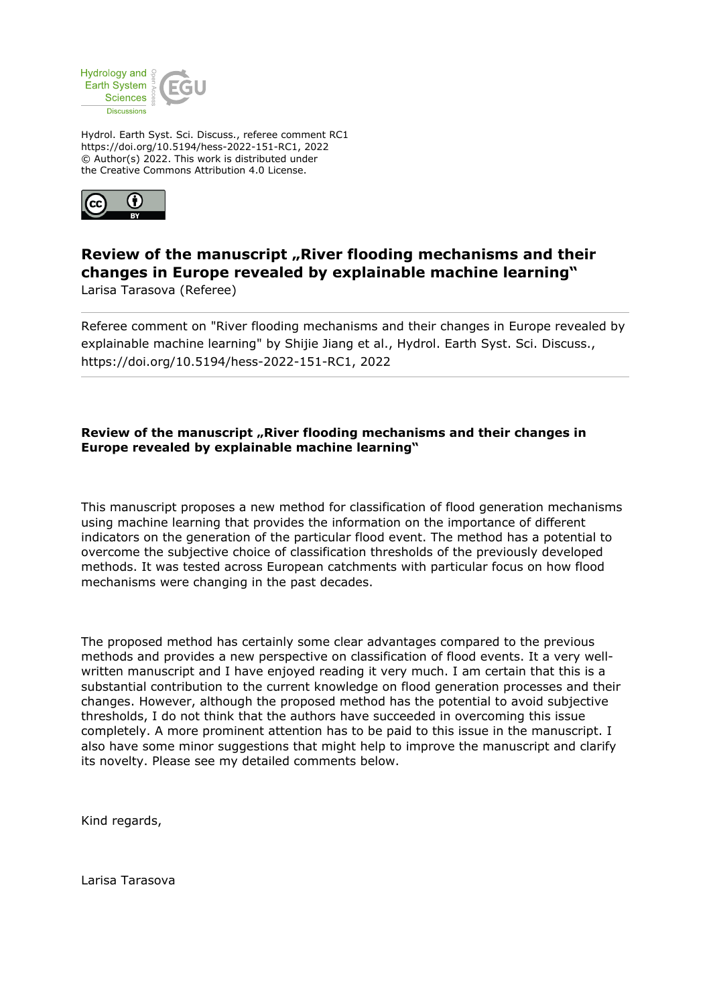

Hydrol. Earth Syst. Sci. Discuss., referee comment RC1 https://doi.org/10.5194/hess-2022-151-RC1, 2022 © Author(s) 2022. This work is distributed under the Creative Commons Attribution 4.0 License.



# **Review of the manuscript "River flooding mechanisms and their changes in Europe revealed by explainable machine learning"** Larisa Tarasova (Referee)

Referee comment on "River flooding mechanisms and their changes in Europe revealed by explainable machine learning" by Shijie Jiang et al., Hydrol. Earth Syst. Sci. Discuss., https://doi.org/10.5194/hess-2022-151-RC1, 2022

## **Review of the manuscript "River flooding mechanisms and their changes in Europe revealed by explainable machine learning"**

This manuscript proposes a new method for classification of flood generation mechanisms using machine learning that provides the information on the importance of different indicators on the generation of the particular flood event. The method has a potential to overcome the subjective choice of classification thresholds of the previously developed methods. It was tested across European catchments with particular focus on how flood mechanisms were changing in the past decades.

The proposed method has certainly some clear advantages compared to the previous methods and provides a new perspective on classification of flood events. It a very wellwritten manuscript and I have enjoyed reading it very much. I am certain that this is a substantial contribution to the current knowledge on flood generation processes and their changes. However, although the proposed method has the potential to avoid subjective thresholds, I do not think that the authors have succeeded in overcoming this issue completely. A more prominent attention has to be paid to this issue in the manuscript. I also have some minor suggestions that might help to improve the manuscript and clarify its novelty. Please see my detailed comments below.

Kind regards,

Larisa Tarasova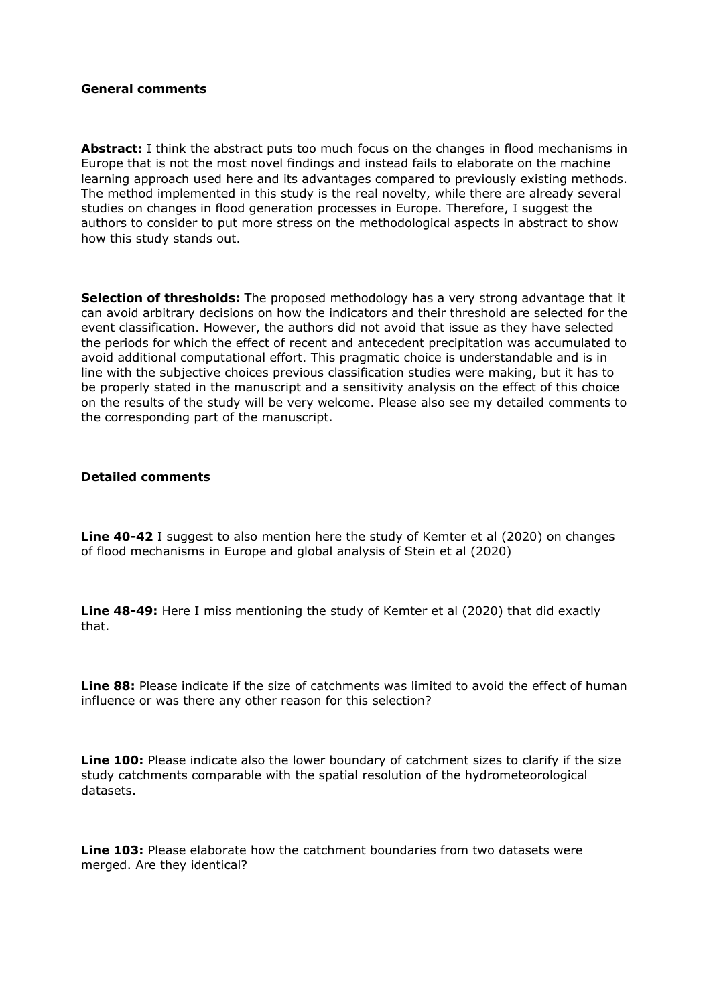### **General comments**

Abstract: I think the abstract puts too much focus on the changes in flood mechanisms in Europe that is not the most novel findings and instead fails to elaborate on the machine learning approach used here and its advantages compared to previously existing methods. The method implemented in this study is the real novelty, while there are already several studies on changes in flood generation processes in Europe. Therefore, I suggest the authors to consider to put more stress on the methodological aspects in abstract to show how this study stands out.

**Selection of thresholds:** The proposed methodology has a very strong advantage that it can avoid arbitrary decisions on how the indicators and their threshold are selected for the event classification. However, the authors did not avoid that issue as they have selected the periods for which the effect of recent and antecedent precipitation was accumulated to avoid additional computational effort. This pragmatic choice is understandable and is in line with the subjective choices previous classification studies were making, but it has to be properly stated in the manuscript and a sensitivity analysis on the effect of this choice on the results of the study will be very welcome. Please also see my detailed comments to the corresponding part of the manuscript.

#### **Detailed comments**

**Line 40-42** I suggest to also mention here the study of Kemter et al (2020) on changes of flood mechanisms in Europe and global analysis of Stein et al (2020)

**Line 48-49:** Here I miss mentioning the study of Kemter et al (2020) that did exactly that.

Line 88: Please indicate if the size of catchments was limited to avoid the effect of human influence or was there any other reason for this selection?

**Line 100:** Please indicate also the lower boundary of catchment sizes to clarify if the size study catchments comparable with the spatial resolution of the hydrometeorological datasets.

**Line 103:** Please elaborate how the catchment boundaries from two datasets were merged. Are they identical?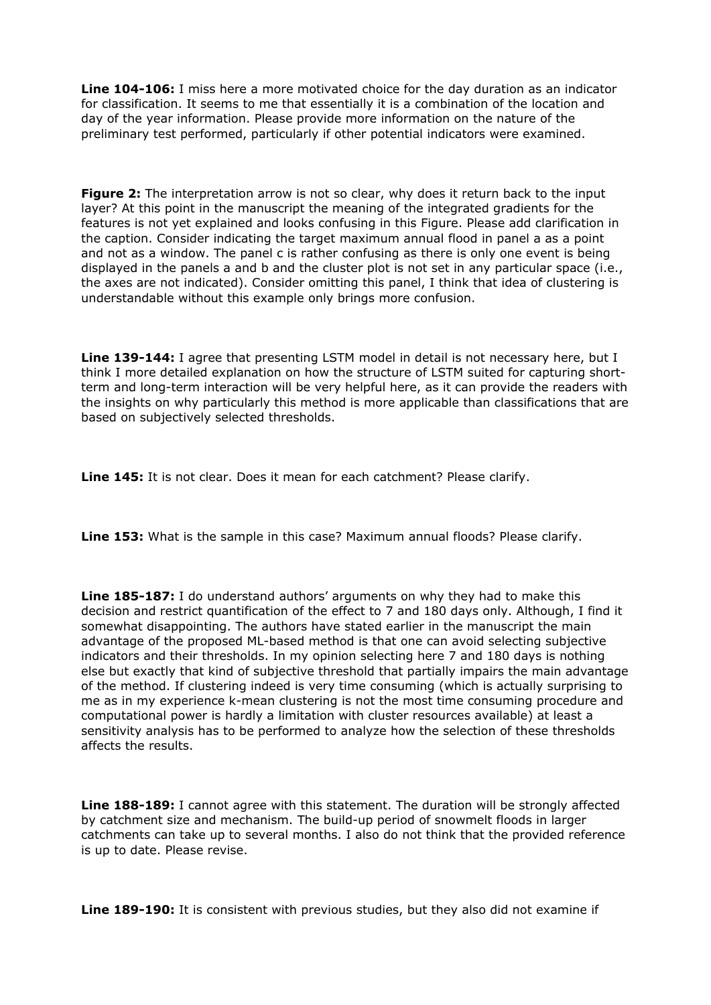**Line 104-106:** I miss here a more motivated choice for the day duration as an indicator for classification. It seems to me that essentially it is a combination of the location and day of the year information. Please provide more information on the nature of the preliminary test performed, particularly if other potential indicators were examined.

**Figure 2:** The interpretation arrow is not so clear, why does it return back to the input layer? At this point in the manuscript the meaning of the integrated gradients for the features is not yet explained and looks confusing in this Figure. Please add clarification in the caption. Consider indicating the target maximum annual flood in panel a as a point and not as a window. The panel c is rather confusing as there is only one event is being displayed in the panels a and b and the cluster plot is not set in any particular space (i.e., the axes are not indicated). Consider omitting this panel, I think that idea of clustering is understandable without this example only brings more confusion.

**Line 139-144:** I agree that presenting LSTM model in detail is not necessary here, but I think I more detailed explanation on how the structure of LSTM suited for capturing shortterm and long-term interaction will be very helpful here, as it can provide the readers with the insights on why particularly this method is more applicable than classifications that are based on subjectively selected thresholds.

**Line 145:** It is not clear. Does it mean for each catchment? Please clarify.

**Line 153:** What is the sample in this case? Maximum annual floods? Please clarify.

**Line 185-187:** I do understand authors' arguments on why they had to make this decision and restrict quantification of the effect to 7 and 180 days only. Although, I find it somewhat disappointing. The authors have stated earlier in the manuscript the main advantage of the proposed ML-based method is that one can avoid selecting subjective indicators and their thresholds. In my opinion selecting here 7 and 180 days is nothing else but exactly that kind of subjective threshold that partially impairs the main advantage of the method. If clustering indeed is very time consuming (which is actually surprising to me as in my experience k-mean clustering is not the most time consuming procedure and computational power is hardly a limitation with cluster resources available) at least a sensitivity analysis has to be performed to analyze how the selection of these thresholds affects the results.

**Line 188-189:** I cannot agree with this statement. The duration will be strongly affected by catchment size and mechanism. The build-up period of snowmelt floods in larger catchments can take up to several months. I also do not think that the provided reference is up to date. Please revise.

**Line 189-190:** It is consistent with previous studies, but they also did not examine if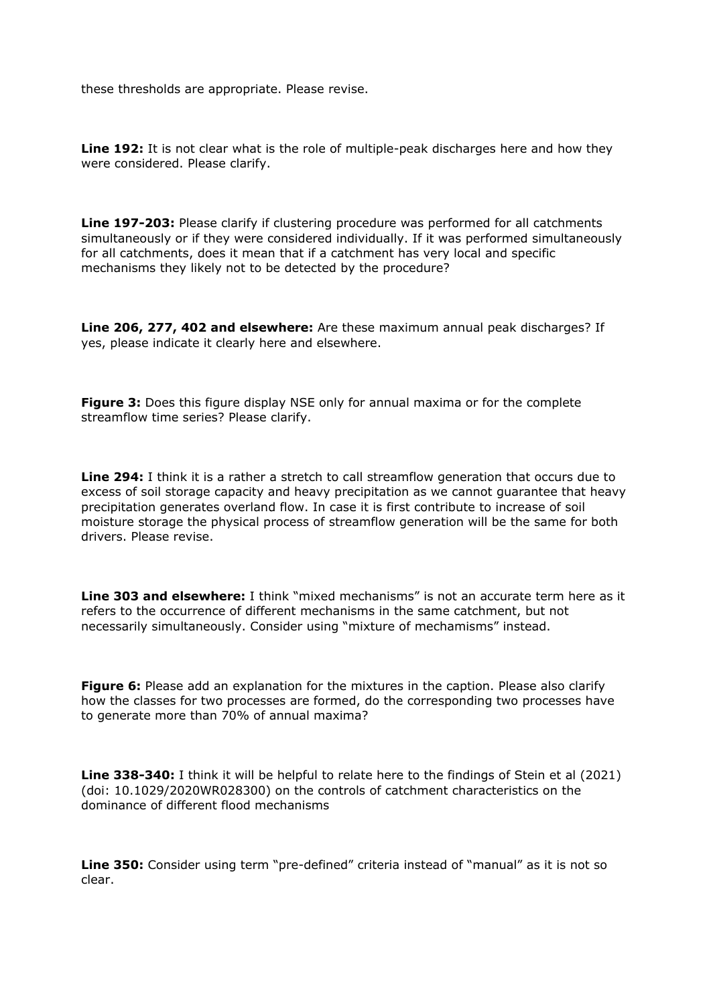these thresholds are appropriate. Please revise.

Line 192: It is not clear what is the role of multiple-peak discharges here and how they were considered. Please clarify.

**Line 197-203:** Please clarify if clustering procedure was performed for all catchments simultaneously or if they were considered individually. If it was performed simultaneously for all catchments, does it mean that if a catchment has very local and specific mechanisms they likely not to be detected by the procedure?

**Line 206, 277, 402 and elsewhere:** Are these maximum annual peak discharges? If yes, please indicate it clearly here and elsewhere.

**Figure 3:** Does this figure display NSE only for annual maxima or for the complete streamflow time series? Please clarify.

**Line 294:** I think it is a rather a stretch to call streamflow generation that occurs due to excess of soil storage capacity and heavy precipitation as we cannot guarantee that heavy precipitation generates overland flow. In case it is first contribute to increase of soil moisture storage the physical process of streamflow generation will be the same for both drivers. Please revise.

**Line 303 and elsewhere:** I think "mixed mechanisms" is not an accurate term here as it refers to the occurrence of different mechanisms in the same catchment, but not necessarily simultaneously. Consider using "mixture of mechamisms" instead.

**Figure 6:** Please add an explanation for the mixtures in the caption. Please also clarify how the classes for two processes are formed, do the corresponding two processes have to generate more than 70% of annual maxima?

**Line 338-340:** I think it will be helpful to relate here to the findings of Stein et al (2021) (doi: 10.1029/2020WR028300) on the controls of catchment characteristics on the dominance of different flood mechanisms

**Line 350:** Consider using term "pre-defined" criteria instead of "manual" as it is not so clear.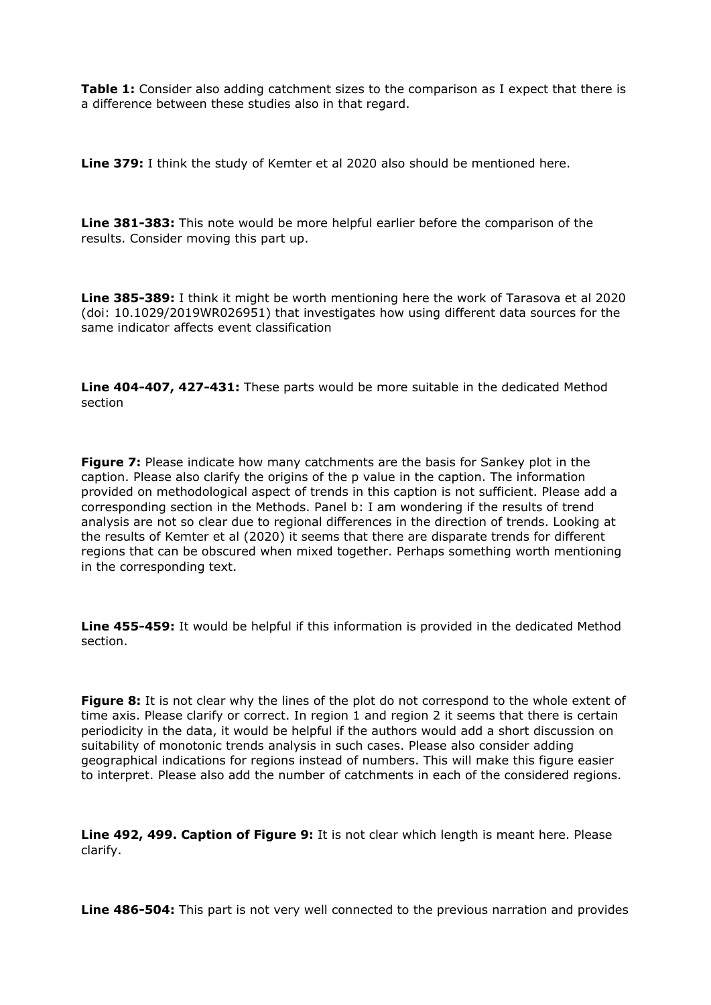**Table 1:** Consider also adding catchment sizes to the comparison as I expect that there is a difference between these studies also in that regard.

**Line 379:** I think the study of Kemter et al 2020 also should be mentioned here.

**Line 381-383:** This note would be more helpful earlier before the comparison of the results. Consider moving this part up.

**Line 385-389:** I think it might be worth mentioning here the work of Tarasova et al 2020 (doi: 10.1029/2019WR026951) that investigates how using different data sources for the same indicator affects event classification

**Line 404-407, 427-431:** These parts would be more suitable in the dedicated Method section

**Figure 7:** Please indicate how many catchments are the basis for Sankey plot in the caption. Please also clarify the origins of the p value in the caption. The information provided on methodological aspect of trends in this caption is not sufficient. Please add a corresponding section in the Methods. Panel b: I am wondering if the results of trend analysis are not so clear due to regional differences in the direction of trends. Looking at the results of Kemter et al (2020) it seems that there are disparate trends for different regions that can be obscured when mixed together. Perhaps something worth mentioning in the corresponding text.

**Line 455-459:** It would be helpful if this information is provided in the dedicated Method section.

**Figure 8:** It is not clear why the lines of the plot do not correspond to the whole extent of time axis. Please clarify or correct. In region 1 and region 2 it seems that there is certain periodicity in the data, it would be helpful if the authors would add a short discussion on suitability of monotonic trends analysis in such cases. Please also consider adding geographical indications for regions instead of numbers. This will make this figure easier to interpret. Please also add the number of catchments in each of the considered regions.

**Line 492, 499. Caption of Figure 9:** It is not clear which length is meant here. Please clarify.

**Line 486-504:** This part is not very well connected to the previous narration and provides